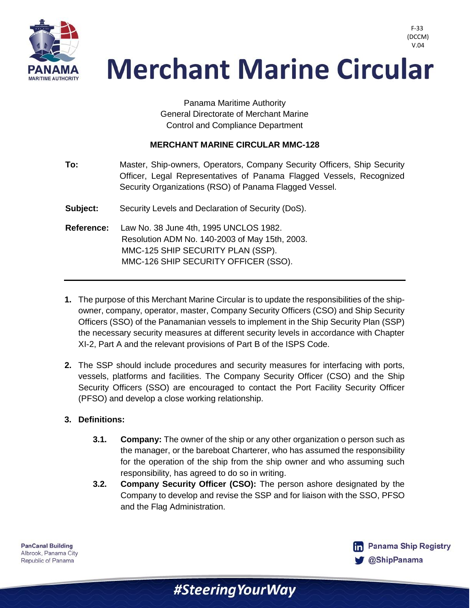

### V.04 **Merchant Marine Circular**

Panama Maritime Authority General Directorate of Merchant Marine Control and Compliance Department

#### **MERCHANT MARINE CIRCULAR MMC-128**

| To:               | Master, Ship-owners, Operators, Company Security Officers, Ship Security<br>Officer, Legal Representatives of Panama Flagged Vessels, Recognized<br>Security Organizations (RSO) of Panama Flagged Vessel. |
|-------------------|------------------------------------------------------------------------------------------------------------------------------------------------------------------------------------------------------------|
| Subject:          | Security Levels and Declaration of Security (DoS).                                                                                                                                                         |
| <b>Reference:</b> | Law No. 38 June 4th, 1995 UNCLOS 1982.<br>Resolution ADM No. 140-2003 of May 15th, 2003.<br>MMC-125 SHIP SECURITY PLAN (SSP).<br>MMC-126 SHIP SECURITY OFFICER (SSO).                                      |

- **1.** The purpose of this Merchant Marine Circular is to update the responsibilities of the shipowner, company, operator, master, Company Security Officers (CSO) and Ship Security Officers (SSO) of the Panamanian vessels to implement in the Ship Security Plan (SSP) the necessary security measures at different security levels in accordance with Chapter XI-2, Part A and the relevant provisions of Part B of the ISPS Code.
- **2.** The SSP should include procedures and security measures for interfacing with ports, vessels, platforms and facilities. The Company Security Officer (CSO) and the Ship Security Officers (SSO) are encouraged to contact the Port Facility Security Officer (PFSO) and develop a close working relationship.

#### **3. Definitions:**

- **3.1. Company:** The owner of the ship or any other organization o person such as the manager, or the bareboat Charterer, who has assumed the responsibility for the operation of the ship from the ship owner and who assuming such responsibility, has agreed to do so in writing.
- **3.2. Company Security Officer (CSO):** The person ashore designated by the Company to develop and revise the SSP and for liaison with the SSO, PFSO and the Flag Administration.

#SteeringYourWay



F-33 (DCCM)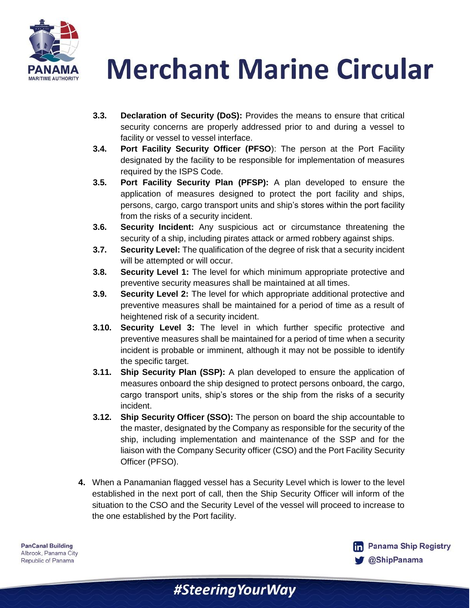

**Merchant Marine Circular** 

- **3.3. Declaration of Security (DoS):** Provides the means to ensure that critical security concerns are properly addressed prior to and during a vessel to facility or vessel to vessel interface.
- **3.4. Port Facility Security Officer (PFSO**): The person at the Port Facility designated by the facility to be responsible for implementation of measures required by the ISPS Code.
- **3.5. Port Facility Security Plan (PFSP):** A plan developed to ensure the application of measures designed to protect the port facility and ships, persons, cargo, cargo transport units and ship's stores within the port facility from the risks of a security incident.
- **3.6. Security Incident:** Any suspicious act or circumstance threatening the security of a ship, including pirates attack or armed robbery against ships.
- **3.7. Security Level:** The qualification of the degree of risk that a security incident will be attempted or will occur.
- **3.8. Security Level 1:** The level for which minimum appropriate protective and preventive security measures shall be maintained at all times.
- **3.9. Security Level 2:** The level for which appropriate additional protective and preventive measures shall be maintained for a period of time as a result of heightened risk of a security incident.
- **3.10. Security Level 3:** The level in which further specific protective and preventive measures shall be maintained for a period of time when a security incident is probable or imminent, although it may not be possible to identify the specific target.
- **3.11. Ship Security Plan (SSP):** A plan developed to ensure the application of measures onboard the ship designed to protect persons onboard, the cargo, cargo transport units, ship's stores or the ship from the risks of a security incident.
- **3.12. Ship Security Officer (SSO):** The person on board the ship accountable to the master, designated by the Company as responsible for the security of the ship, including implementation and maintenance of the SSP and for the liaison with the Company Security officer (CSO) and the Port Facility Security Officer (PFSO).
- **4.** When a Panamanian flagged vessel has a Security Level which is lower to the level established in the next port of call, then the Ship Security Officer will inform of the situation to the CSO and the Security Level of the vessel will proceed to increase to the one established by the Port facility.

#SteeringYourWay

**PanCanal Building** Albrook, Panama City Republic of Panama

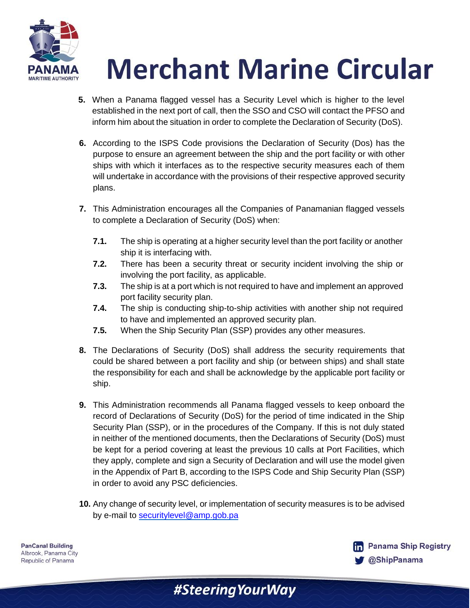

# **Merchant Marine Circular**

- **5.** When a Panama flagged vessel has a Security Level which is higher to the level established in the next port of call, then the SSO and CSO will contact the PFSO and inform him about the situation in order to complete the Declaration of Security (DoS).
- **6.** According to the ISPS Code provisions the Declaration of Security (Dos) has the purpose to ensure an agreement between the ship and the port facility or with other ships with which it interfaces as to the respective security measures each of them will undertake in accordance with the provisions of their respective approved security plans.
- **7.** This Administration encourages all the Companies of Panamanian flagged vessels to complete a Declaration of Security (DoS) when:
	- **7.1.** The ship is operating at a higher security level than the port facility or another ship it is interfacing with.
	- **7.2.** There has been a security threat or security incident involving the ship or involving the port facility, as applicable.
	- **7.3.** The ship is at a port which is not required to have and implement an approved port facility security plan.
	- **7.4.** The ship is conducting ship-to-ship activities with another ship not required to have and implemented an approved security plan.
	- **7.5.** When the Ship Security Plan (SSP) provides any other measures.
- **8.** The Declarations of Security (DoS) shall address the security requirements that could be shared between a port facility and ship (or between ships) and shall state the responsibility for each and shall be acknowledge by the applicable port facility or ship.
- **9.** This Administration recommends all Panama flagged vessels to keep onboard the record of Declarations of Security (DoS) for the period of time indicated in the Ship Security Plan (SSP), or in the procedures of the Company. If this is not duly stated in neither of the mentioned documents, then the Declarations of Security (DoS) must be kept for a period covering at least the previous 10 calls at Port Facilities, which they apply, complete and sign a Security of Declaration and will use the model given in the Appendix of Part B, according to the ISPS Code and Ship Security Plan (SSP) in order to avoid any PSC deficiencies.
- **10.** Any change of security level, or implementation of security measures is to be advised by e-mail to [securitylevel@amp.gob.pa](mailto:securitylevel@amp.gob.pa)

#SteeringYourWay

**PanCanal Building** Albrook, Panama City Republic of Panama